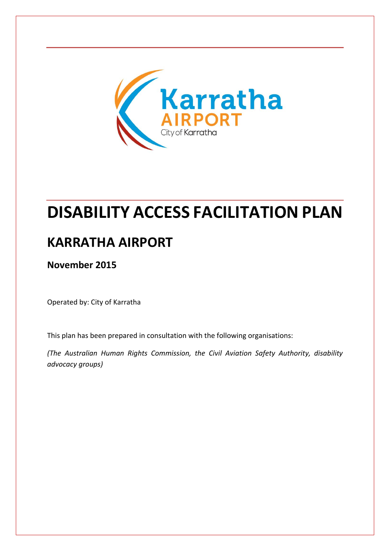

# **DISABILITY ACCESS FACILITATION PLAN**

### **KARRATHA AIRPORT**

**November 2015**

Operated by: City of Karratha

This plan has been prepared in consultation with the following organisations:

*(The Australian Human Rights Commission, the Civil Aviation Safety Authority, disability advocacy groups)*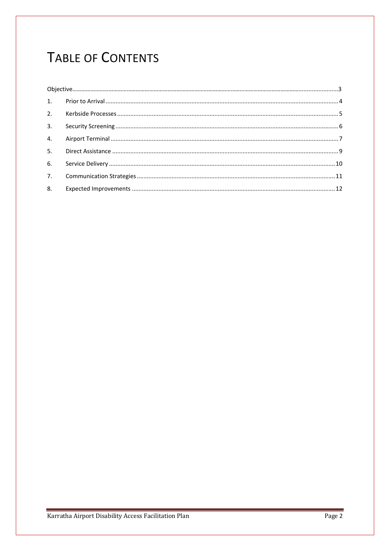## TABLE OF CONTENTS

| 3. |  |  |
|----|--|--|
| 4. |  |  |
| 5. |  |  |
| 6. |  |  |
| 7. |  |  |
| 8. |  |  |
|    |  |  |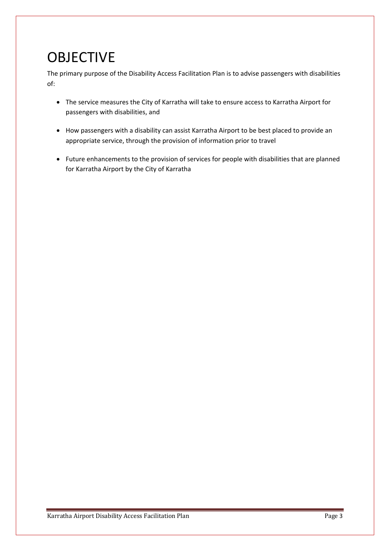# **OBJECTIVE**

The primary purpose of the Disability Access Facilitation Plan is to advise passengers with disabilities of:

- The service measures the City of Karratha will take to ensure access to Karratha Airport for passengers with disabilities, and
- How passengers with a disability can assist Karratha Airport to be best placed to provide an appropriate service, through the provision of information prior to travel
- Future enhancements to the provision of services for people with disabilities that are planned for Karratha Airport by the City of Karratha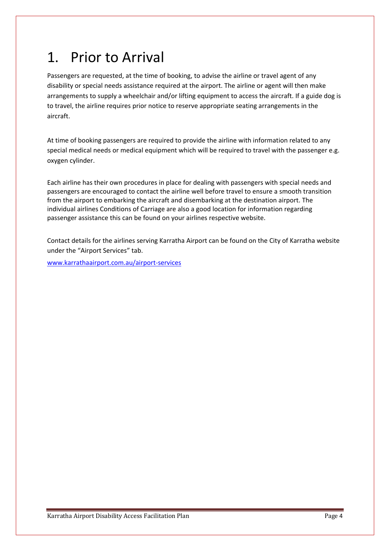# <span id="page-3-0"></span>1. Prior to Arrival

Passengers are requested, at the time of booking, to advise the airline or travel agent of any disability or special needs assistance required at the airport. The airline or agent will then make arrangements to supply a wheelchair and/or lifting equipment to access the aircraft. If a guide dog is to travel, the airline requires prior notice to reserve appropriate seating arrangements in the aircraft.

At time of booking passengers are required to provide the airline with information related to any special medical needs or medical equipment which will be required to travel with the passenger e.g. oxygen cylinder.

Each airline has their own procedures in place for dealing with passengers with special needs and passengers are encouraged to contact the airline well before travel to ensure a smooth transition from the airport to embarking the aircraft and disembarking at the destination airport. The individual airlines Conditions of Carriage are also a good location for information regarding passenger assistance this can be found on your airlines respective website.

Contact details for the airlines serving Karratha Airport can be found on the City of Karratha website under the "Airport Services" tab.

[www.karrathaairport.com.au/airport-services](http://www.karrathaairport.com.au/airport-services)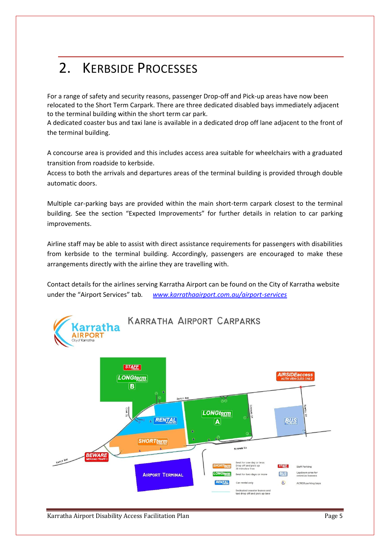# <span id="page-4-0"></span>2. KERBSIDE PROCESSES

For a range of safety and security reasons, passenger Drop-off and Pick-up areas have now been relocated to the Short Term Carpark. There are three dedicated disabled bays immediately adjacent to the terminal building within the short term car park.

A dedicated coaster bus and taxi lane is available in a dedicated drop off lane adjacent to the front of the terminal building.

A concourse area is provided and this includes access area suitable for wheelchairs with a graduated transition from roadside to kerbside.

Access to both the arrivals and departures areas of the terminal building is provided through double automatic doors.

Multiple car-parking bays are provided within the main short-term carpark closest to the terminal building. See the section "Expected Improvements" for further details in relation to car parking improvements.

Airline staff may be able to assist with direct assistance requirements for passengers with disabilities from kerbside to the terminal building. Accordingly, passengers are encouraged to make these arrangements directly with the airline they are travelling with.

Contact details for the airlines serving Karratha Airport can be found on the City of Karratha website under the "Airport Services" tab*. [www.karrathaairport.com.au/airport-services](http://www.karrathaairport.com.au/airport-services)*



Karratha Airport Disability Access Facilitation Plan **Page 5** and Page 5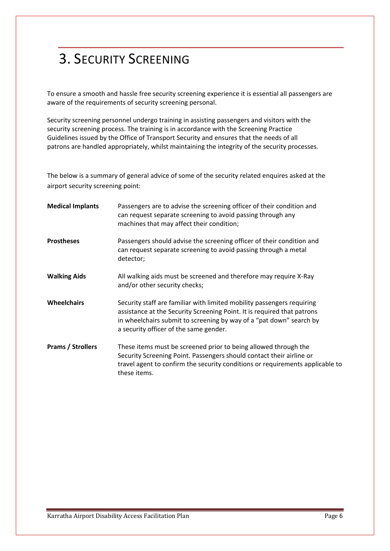# <span id="page-5-0"></span>3. SECURITY SCREENING

To ensure a smooth and hassle free security screening experience it is essential all passengers are aware of the requirements of security screening personal.

Security screening personnel undergo training in assisting passengers and visitors with the security screening process. The training is in accordance with the Screening Practice Guidelines issued by the Office of Transport Security and ensures that the needs of all patrons are handled appropriately, whilst maintaining the integrity of the security processes.

The below is a summary of general advice of some of the security related enquires asked at the airport security screening point:

| <b>Medical Implants</b>  | Passengers are to advise the screening officer of their condition and<br>can request separate screening to avoid passing through any<br>machines that may affect their condition;                                                                                  |
|--------------------------|--------------------------------------------------------------------------------------------------------------------------------------------------------------------------------------------------------------------------------------------------------------------|
| <b>Prostheses</b>        | Passengers should advise the screening officer of their condition and<br>can request separate screening to avoid passing through a metal<br>detector;                                                                                                              |
| <b>Walking Aids</b>      | All walking aids must be screened and therefore may require X-Ray<br>and/or other security checks;                                                                                                                                                                 |
| <b>Wheelchairs</b>       | Security staff are familiar with limited mobility passengers requiring<br>assistance at the Security Screening Point. It is required that patrons<br>in wheelchairs submit to screening by way of a "pat down" search by<br>a security officer of the same gender. |
| <b>Prams / Strollers</b> | These items must be screened prior to being allowed through the<br>Security Screening Point. Passengers should contact their airline or<br>travel agent to confirm the security conditions or requirements applicable to<br>these items.                           |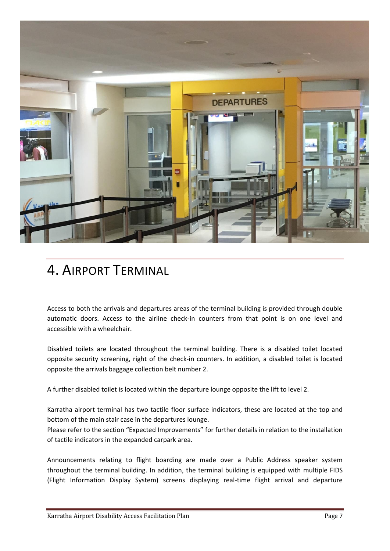

### <span id="page-6-0"></span>4. AIRPORT TERMINAL

Access to both the arrivals and departures areas of the terminal building is provided through double automatic doors. Access to the airline check-in counters from that point is on one level and accessible with a wheelchair.

Disabled toilets are located throughout the terminal building. There is a disabled toilet located opposite security screening, right of the check-in counters. In addition, a disabled toilet is located opposite the arrivals baggage collection belt number 2.

A further disabled toilet is located within the departure lounge opposite the lift to level 2.

Karratha airport terminal has two tactile floor surface indicators, these are located at the top and bottom of the main stair case in the departures lounge.

Please refer to the section "Expected Improvements" for further details in relation to the installation of tactile indicators in the expanded carpark area.

Announcements relating to flight boarding are made over a Public Address speaker system throughout the terminal building. In addition, the terminal building is equipped with multiple FIDS (Flight Information Display System) screens displaying real-time flight arrival and departure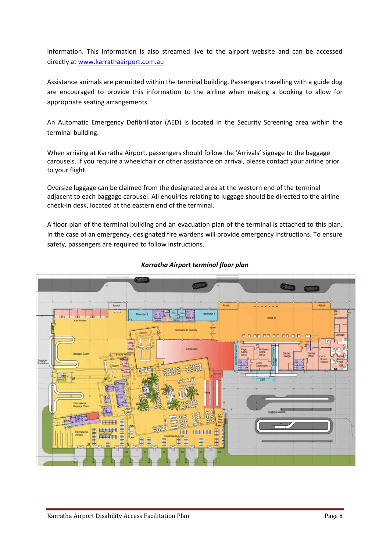information. This information is also streamed live to the airport website and can be accessed directly at [www.karrathaairport.com.au](http://www.karrathaairport.com.au/)

Assistance animals are permitted within the terminal building. Passengers travelling with a guide dog are encouraged to provide this information to the airline when making a booking to allow for appropriate seating arrangements.

An Automatic Emergency Defibrillator (AED) is located in the Security Screening area within the terminal building.

When arriving at Karratha Airport, passengers should follow the 'Arrivals' signage to the baggage carousels. If you require a wheelchair or other assistance on arrival, please contact your airline prior to your flight.

Oversize luggage can be claimed from the designated area at the western end of the terminal adjacent to each baggage carousel. All enquiries relating to luggage should be directed to the airline check-in desk, located at the eastern end of the terminal.

A floor plan of the terminal building and an evacuation plan of the terminal is attached to this plan. In the case of an emergency, designated fire wardens will provide emergency instructions. To ensure safety, passengers are required to follow instructions.



#### *Karratha Airport terminal floor plan*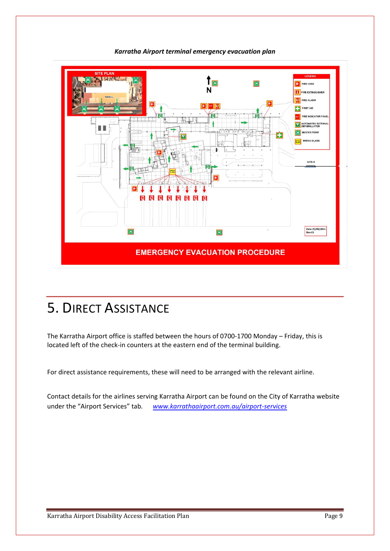

*Karratha Airport terminal emergency evacuation plan*

### <span id="page-8-0"></span>5. DIRECT ASSISTANCE

The Karratha Airport office is staffed between the hours of 0700-1700 Monday – Friday, this is located left of the check-in counters at the eastern end of the terminal building.

For direct assistance requirements, these will need to be arranged with the relevant airline.

Contact details for the airlines serving Karratha Airport can be found on the City of Karratha website under the "Airport Services" tab*. [www.karrathaairport.com.au/airport-services](http://www.karrathaairport.com.au/airport-services)*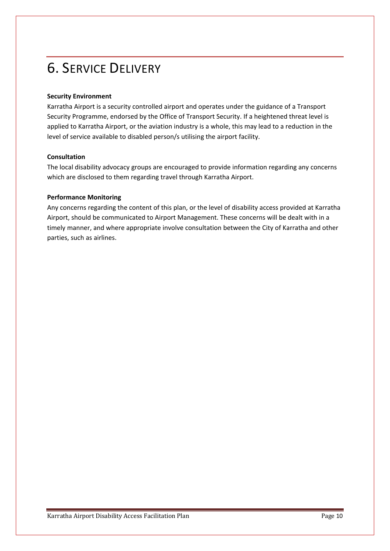# <span id="page-9-0"></span>6. SERVICE DELIVERY

#### **Security Environment**

Karratha Airport is a security controlled airport and operates under the guidance of a Transport Security Programme, endorsed by the Office of Transport Security. If a heightened threat level is applied to Karratha Airport, or the aviation industry is a whole, this may lead to a reduction in the level of service available to disabled person/s utilising the airport facility.

#### **Consultation**

The local disability advocacy groups are encouraged to provide information regarding any concerns which are disclosed to them regarding travel through Karratha Airport.

#### **Performance Monitoring**

Any concerns regarding the content of this plan, or the level of disability access provided at Karratha Airport, should be communicated to Airport Management. These concerns will be dealt with in a timely manner, and where appropriate involve consultation between the City of Karratha and other parties, such as airlines.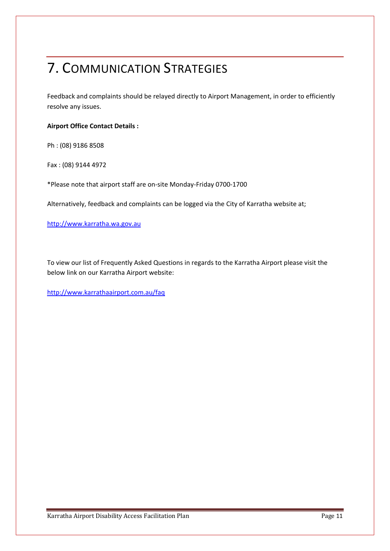## <span id="page-10-0"></span>7. COMMUNICATION STRATEGIES

Feedback and complaints should be relayed directly to Airport Management, in order to efficiently resolve any issues.

#### **Airport Office Contact Details :**

Ph : (08) 9186 8508

Fax : (08) 9144 4972

\*Please note that airport staff are on-site Monday-Friday 0700-1700

Alternatively, feedback and complaints can be logged via the City of Karratha website at;

[http://www.karratha.wa.gov.au](http://www.karratha.wa.gov.au/)

To view our list of Frequently Asked Questions in regards to the Karratha Airport please visit the below link on our Karratha Airport website:

<http://www.karrathaairport.com.au/faq>